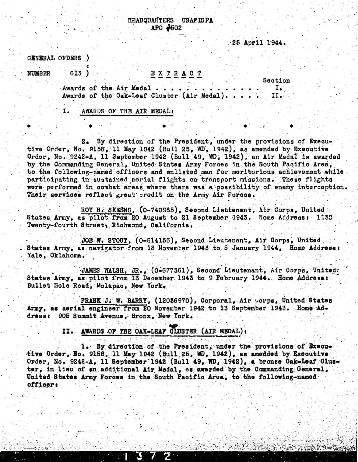**HEADQUARTERS USAFISPA** APO #502

25 April 1944.

GENERAL ORDERS )

613)

**NUMBER** 

## EXTRACT

Section Ι.

Awards of the Air Medal . . . . . Awards of the Oak-Leaf Cluster (Air Medal). . . II.

AWARDS OF THE AIR MEDAL: I.

2. By direction of the President, under the provisions of Executive Order. No. 9158. 11 May 1942 (Bull 25. WD. 1942), as amended by Executive Order, No. 9242-A, 11 September 1942 (Bull 49, WD, 1942), an Air Medal is awarded by the Commanding General, United States Army Forces in the South Pacific Area, to the following-named officers and enlisted man for meritorious achievement while participating in sustained aerial flights on transport missions. These flights were performed in combat areas where there was a possibility of enemy interception. Their services reflect great credit on the Army Air Forces.

ROY H. SKEENS, (0-740965), Second Lieutenant, Air Corps, United States Army, as pilot from 20 August to 21 September 1943. Home Address: 1130 Twenty-fourth Street, Richmond, California.

JOE W. STOUT, (0-814156), Second Lieutenant, Air Corps, United States Army, as navigator from 18 November 1943 to 5 January 1944, Home Address: Yale, Oklahoma.

JAMES WALSH, JR., (0-677361), Second Lieutenant, Air Corps, United? States Army, as pilot from 13 December 1943 to 9 February 1944. Home Address: Bullet Hole Road, Molapac, New York.

FRANK J. W. BARRY, (12036970), Corporal, Air Corps, United States Army, as aerial engineer from 20 November 1942 to 13 September 1943. Home Address: 905 Summit Avenue. Bronx. New York.

II. AWARDS OF THE OAK-LEAF CLUSTER (AIR MEDAL):

1. By direction of the President, under the provisions of Executive Order, No. 9158, 11 May 1942 (Bull 25, WD, 1942), as amended by Executive Order, No. 9242-A, 11 September 1942 (Bull 49, WD, 1942), a bronze Oak-Leaf Cluster, in lieu of an additional Air Medal, es awarded by the Commanding General, United States Army Forces in the South Pacific Area, to the following-named officer: